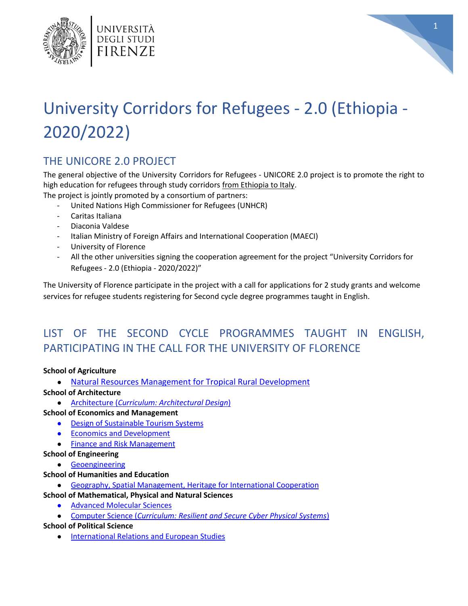



# University Corridors for Refugees - 2.0 (Ethiopia - 2020/2022)

# THE UNICORE 2.0 PROJECT

The general objective of the University Corridors for Refugees - UNICORE 2.0 project is to promote the right to high education for refugees through study corridors from Ethiopia to Italy.

The project is jointly promoted by a consortium of partners:

- United Nations High Commissioner for Refugees (UNHCR)
- Caritas Italiana
- Diaconia Valdese
- Italian Ministry of Foreign Affairs and International Cooperation (MAECI)
- University of Florence
- All the other universities signing the cooperation agreement for the project "University Corridors for Refugees - 2.0 (Ethiopia - 2020/2022)"

The University of Florence participate in the project with a call for applications for 2 study grants and welcome services for refugee students registering for Second cycle degree programmes taught in English.

# LIST OF THE SECOND CYCLE PROGRAMMES TAUGHT IN ENGLISH, PARTICIPATING IN THE CALL FOR THE UNIVERSITY OF FLORENCE

#### **School of Agriculture**

- [Natural Resources Management for Tropical Rural Development](https://www.unifi.it/upload/sub/borse/2020/dr489_unicore_200520_all_2.pdf)
- **School of Architecture**
	- Architecture (*[Curriculum: Architectural Design](https://www.unifi.it/upload/sub/borse/2020/dr489_unicore_200520_all_2.pdf)*)

#### **School of Economics and Management**

- [Design of Sustainable Tourism Systems](https://www.unifi.it/upload/sub/borse/2020/dr489_unicore_200520_all_2.pdf)
- **•** [Economics and Development](https://www.unifi.it/upload/sub/borse/2020/dr489_unicore_200520_all_2.pdf)
- [Finance and Risk Management](https://www.unifi.it/upload/sub/borse/2020/dr489_unicore_200520_all_2.pdf)
- **School of Engineering**
	- [Geoengineering](https://www.unifi.it/upload/sub/borse/2020/dr489_unicore_200520_all_2.pdf)

#### **School of Humanities and Education**

● [Geography, Spatial Management, Heritage for International Cooperation](https://www.unifi.it/upload/sub/borse/2020/dr489_unicore_200520_all_2.pdf)

#### **School of Mathematical, Physical and Natural Sciences**

- [Advanced Molecular Sciences](https://www.unifi.it/upload/sub/borse/2020/dr489_unicore_200520_all_2.pdf)
- Computer Science (*[Curriculum: Resilient and Secure Cyber Physical Systems](https://www.unifi.it/upload/sub/borse/2020/dr489_unicore_200520_all_2.pdf)*)

#### **School of Political Science**

● [International Relations and European Studies](https://www.unifi.it/upload/sub/borse/2020/dr489_unicore_200520_all_2.pdf)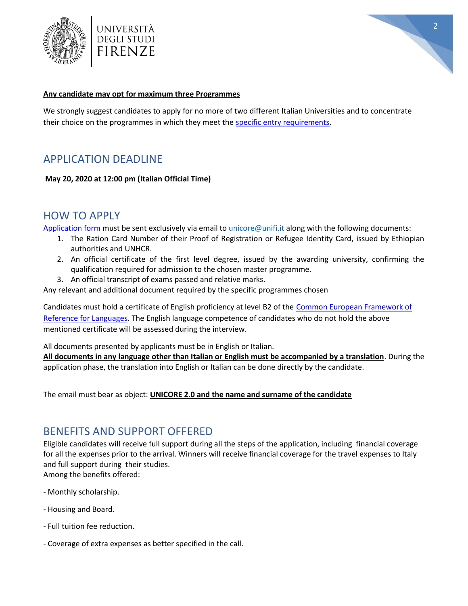



#### **Any candidate may opt for maximum three Programmes**

We strongly suggest candidates to apply for no more of two different Italian Universities and to concentrate their choice on the programmes in which they meet the [specific entry requirements.](https://www.unifi.it/upload/sub/borse/2020/dr489_unicore_200520_all_2.pdf)

## APPLICATION DEADLINE

**May 20, 2020 at 12:00 pm (Italian Official Time)**

## HOW TO APPLY

[Application form](https://www.unifi.it/upload/sub/borse/2020/dr489_unicore_200520_all_1.pdf) must be sent exclusively via email to [unicore@unifi.it](mailto:unicore@unifi.it) along with the following documents:

- 1. The Ration Card Number of their Proof of Registration or Refugee Identity Card, issued by Ethiopian authorities and UNHCR.
- 2. An official certificate of the first level degree, issued by the awarding university, confirming the qualification required for admission to the chosen master programme.
- 3. An official transcript of exams passed and relative marks.

Any relevant and additional document required by the specific programmes chosen

Candidates must hold a certificate of English proficiency at level B2 of the [Common European Framework of](https://www.unifi.it/upload/sub/borse/2020/dr489_unicore_200520_all_3.pdf)  [Reference for Languages.](https://www.unifi.it/upload/sub/borse/2020/dr489_unicore_200520_all_3.pdf) The English language competence of candidates who do not hold the above mentioned certificate will be assessed during the interview.

All documents presented by applicants must be in English or Italian.

**All documents in any language other than Italian or English must be accompanied by a translation**. During the application phase, the translation into English or Italian can be done directly by the candidate.

The email must bear as object: **UNICORE 2.0 and the name and surname of the candidate**

## BENEFITS AND SUPPORT OFFERED

Eligible candidates will receive full support during all the steps of the application, including financial coverage for all the expenses prior to the arrival. Winners will receive financial coverage for the travel expenses to Italy and full support during their studies.

Among the benefits offered:

- Monthly scholarship.
- Housing and Board.
- Full tuition fee reduction.
- Coverage of extra expenses as better specified in the call.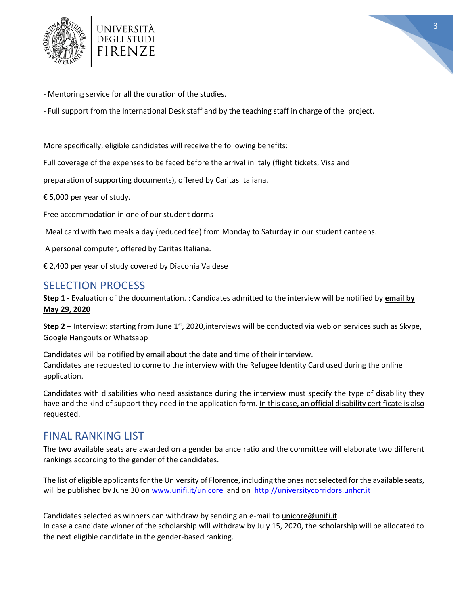



- Mentoring service for all the duration of the studies.

- Full support from the International Desk staff and by the teaching staff in charge of the project.

More specifically, eligible candidates will receive the following benefits:

Full coverage of the expenses to be faced before the arrival in Italy (flight tickets, Visa and

preparation of supporting documents), offered by Caritas Italiana.

€ 5,000 per year of study.

Free accommodation in one of our student dorms

Meal card with two meals a day (reduced fee) from Monday to Saturday in our student canteens.

A personal computer, offered by Caritas Italiana.

€ 2,400 per year of study covered by Diaconia Valdese

## SELECTION PROCESS

**Step 1 -** Evaluation of the documentation. : Candidates admitted to the interview will be notified by **email by May 29, 2020**

**Step 2** – Interview: starting from June 1<sup>st</sup>, 2020, interviews will be conducted via web on services such as Skype, Google Hangouts or Whatsapp

Candidates will be notified by email about the date and time of their interview. Candidates are requested to come to the interview with the Refugee Identity Card used during the online application.

Candidates with disabilities who need assistance during the interview must specify the type of disability they have and the kind of support they need in the application form. In this case, an official disability certificate is also requested.

### FINAL RANKING LIST

The two available seats are awarded on a gender balance ratio and the committee will elaborate two different rankings according to the gender of the candidates.

The list of eligible applicants for the University of Florence, including the ones not selected for the available seats, will be published by June 30 o[n www.unifi.it/unicore](www.unifi.it/unicore) and on [http://universitycorridors.unhcr.it](http://universitycorridors.unhcr.it/)

Candidates selected as winners can withdraw by sending an e-mail t[o unicore@unifi.it](mailto:unicore@unifi.it) In case a candidate winner of the scholarship will withdraw by July 15, 2020, the scholarship will be allocated to the next eligible candidate in the gender-based ranking.